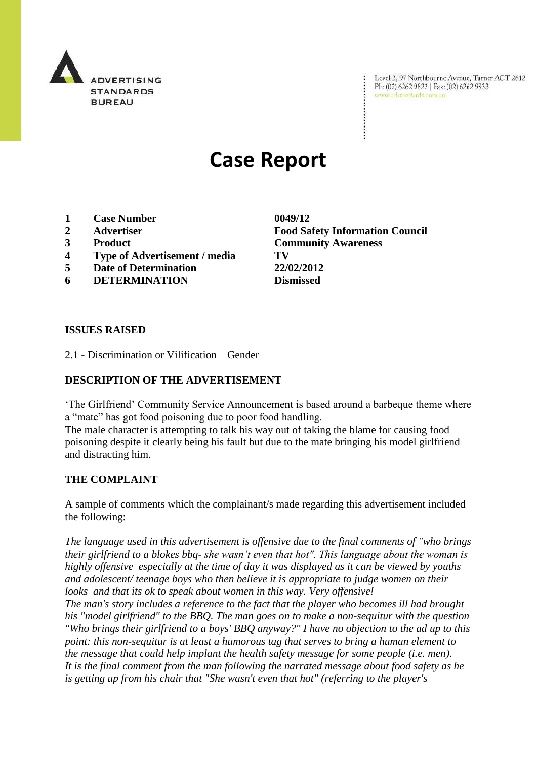

Level 2, 97 Northbourne Avenue, Turner ACT 2612 Ph: (02) 6262 9822 | Fax: (02) 6262 9833 www.adstandards.com.au

# **Case Report**

- **1 Case Number 0049/12**
- **2 Advertiser Food Safety Information Council**
- 
- **4 Type of Advertisement / media TV**
- **5 Date of Determination 22/02/2012**
- **6 DETERMINATION Dismissed**

**3 Product Community Awareness**

 $\ddot{\cdot}$ 

### **ISSUES RAISED**

2.1 - Discrimination or Vilification Gender

## **DESCRIPTION OF THE ADVERTISEMENT**

"The Girlfriend" Community Service Announcement is based around a barbeque theme where a "mate" has got food poisoning due to poor food handling.

The male character is attempting to talk his way out of taking the blame for causing food poisoning despite it clearly being his fault but due to the mate bringing his model girlfriend and distracting him.

#### **THE COMPLAINT**

A sample of comments which the complainant/s made regarding this advertisement included the following:

*The language used in this advertisement is offensive due to the final comments of "who brings their girlfriend to a blokes bbq- she wasn't even that hot". This language about the woman is highly offensive especially at the time of day it was displayed as it can be viewed by youths and adolescent/ teenage boys who then believe it is appropriate to judge women on their looks and that its ok to speak about women in this way. Very offensive!*

*The man's story includes a reference to the fact that the player who becomes ill had brought his "model girlfriend" to the BBQ. The man goes on to make a non-sequitur with the question "Who brings their girlfriend to a boys' BBQ anyway?" I have no objection to the ad up to this point: this non-sequitur is at least a humorous tag that serves to bring a human element to the message that could help implant the health safety message for some people (i.e. men). It is the final comment from the man following the narrated message about food safety as he is getting up from his chair that "She wasn't even that hot" (referring to the player's*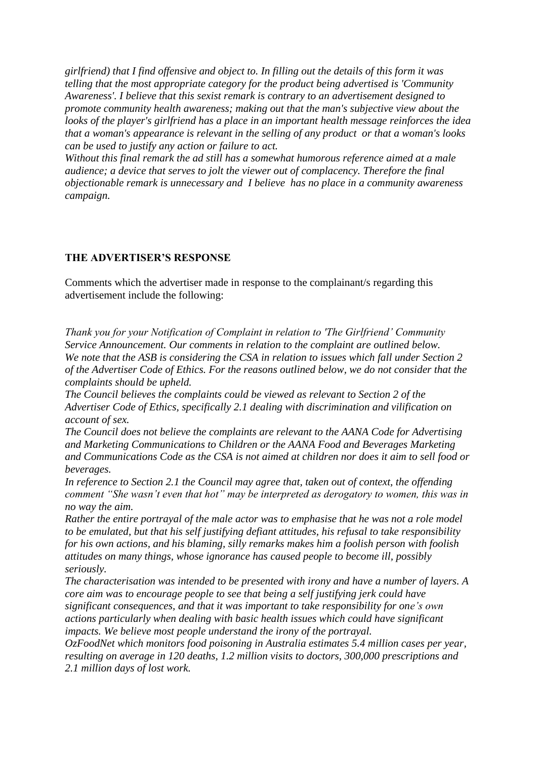*girlfriend) that I find offensive and object to. In filling out the details of this form it was telling that the most appropriate category for the product being advertised is 'Community Awareness'. I believe that this sexist remark is contrary to an advertisement designed to promote community health awareness; making out that the man's subjective view about the looks of the player's girlfriend has a place in an important health message reinforces the idea that a woman's appearance is relevant in the selling of any product or that a woman's looks can be used to justify any action or failure to act.*

*Without this final remark the ad still has a somewhat humorous reference aimed at a male audience; a device that serves to jolt the viewer out of complacency. Therefore the final objectionable remark is unnecessary and I believe has no place in a community awareness campaign.*

## **THE ADVERTISER'S RESPONSE**

Comments which the advertiser made in response to the complainant/s regarding this advertisement include the following:

*Thank you for your Notification of Complaint in relation to 'The Girlfriend' Community Service Announcement. Our comments in relation to the complaint are outlined below. We note that the ASB is considering the CSA in relation to issues which fall under Section 2 of the Advertiser Code of Ethics. For the reasons outlined below, we do not consider that the complaints should be upheld.*

*The Council believes the complaints could be viewed as relevant to Section 2 of the Advertiser Code of Ethics, specifically 2.1 dealing with discrimination and vilification on account of sex.* 

*The Council does not believe the complaints are relevant to the AANA Code for Advertising and Marketing Communications to Children or the AANA Food and Beverages Marketing and Communications Code as the CSA is not aimed at children nor does it aim to sell food or beverages.*

*In reference to Section 2.1 the Council may agree that, taken out of context, the offending comment "She wasn't even that hot" may be interpreted as derogatory to women, this was in no way the aim.*

*Rather the entire portrayal of the male actor was to emphasise that he was not a role model to be emulated, but that his self justifying defiant attitudes, his refusal to take responsibility for his own actions, and his blaming, silly remarks makes him a foolish person with foolish attitudes on many things, whose ignorance has caused people to become ill, possibly seriously.*

*The characterisation was intended to be presented with irony and have a number of layers. A core aim was to encourage people to see that being a self justifying jerk could have significant consequences, and that it was important to take responsibility for one's own actions particularly when dealing with basic health issues which could have significant impacts. We believe most people understand the irony of the portrayal.*

*OzFoodNet which monitors food poisoning in Australia estimates 5.4 million cases per year, resulting on average in 120 deaths, 1.2 million visits to doctors, 300,000 prescriptions and 2.1 million days of lost work.*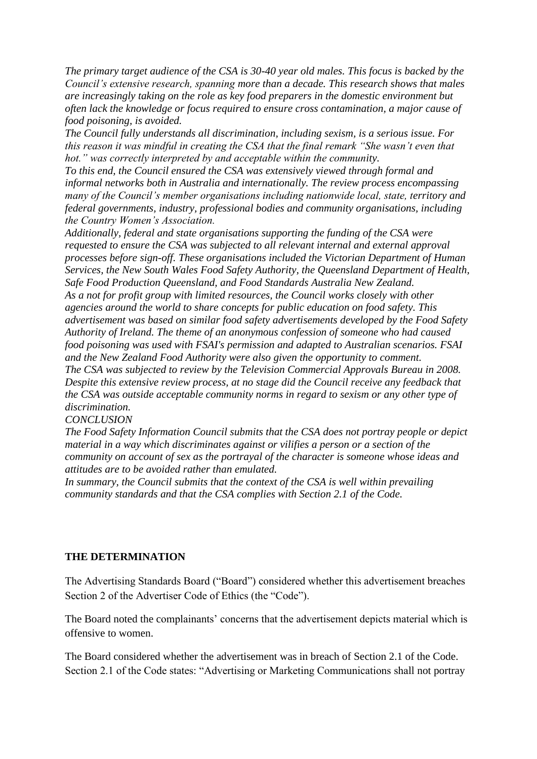*The primary target audience of the CSA is 30-40 year old males. This focus is backed by the Council's extensive research, spanning more than a decade. This research shows that males are increasingly taking on the role as key food preparers in the domestic environment but often lack the knowledge or focus required to ensure cross contamination, a major cause of food poisoning, is avoided.* 

*The Council fully understands all discrimination, including sexism, is a serious issue. For this reason it was mindful in creating the CSA that the final remark "She wasn't even that hot." was correctly interpreted by and acceptable within the community.*

*To this end, the Council ensured the CSA was extensively viewed through formal and informal networks both in Australia and internationally. The review process encompassing many of the Council's member organisations including nationwide local, state, territory and federal governments, industry, professional bodies and community organisations, including the Country Women's Association.*

*Additionally, federal and state organisations supporting the funding of the CSA were requested to ensure the CSA was subjected to all relevant internal and external approval processes before sign-off. These organisations included the Victorian Department of Human Services, the New South Wales Food Safety Authority, the Queensland Department of Health, Safe Food Production Queensland, and Food Standards Australia New Zealand. As a not for profit group with limited resources, the Council works closely with other agencies around the world to share concepts for public education on food safety. This advertisement was based on similar food safety advertisements developed by the Food Safety Authority of Ireland. The theme of an anonymous confession of someone who had caused food poisoning was used with FSAI's permission and adapted to Australian scenarios. FSAI and the New Zealand Food Authority were also given the opportunity to comment. The CSA was subjected to review by the Television Commercial Approvals Bureau in 2008. Despite this extensive review process, at no stage did the Council receive any feedback that the CSA was outside acceptable community norms in regard to sexism or any other type of discrimination.* 

#### *CONCLUSION*

*The Food Safety Information Council submits that the CSA does not portray people or depict material in a way which discriminates against or vilifies a person or a section of the community on account of sex as the portrayal of the character is someone whose ideas and attitudes are to be avoided rather than emulated.*

In summary, the Council submits that the context of the CSA is well within prevailing *community standards and that the CSA complies with Section 2.1 of the Code.*

## **THE DETERMINATION**

The Advertising Standards Board ("Board") considered whether this advertisement breaches Section 2 of the Advertiser Code of Ethics (the "Code").

The Board noted the complainants' concerns that the advertisement depicts material which is offensive to women.

The Board considered whether the advertisement was in breach of Section 2.1 of the Code. Section 2.1 of the Code states: "Advertising or Marketing Communications shall not portray